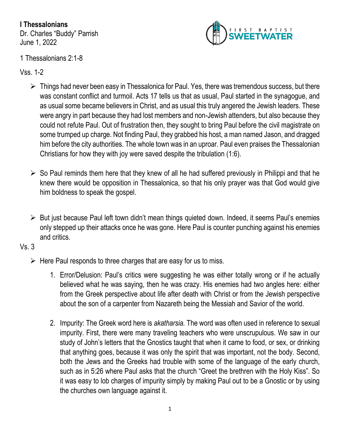**I Thessalonians** Dr. Charles "Buddy" Parrish June 1, 2022



## 1 Thessalonians 2:1-8

Vss. 1-2

- ➢ Things had never been easy in Thessalonica for Paul. Yes, there was tremendous success, but there was constant conflict and turmoil. Acts 17 tells us that as usual, Paul started in the synagogue, and as usual some became believers in Christ, and as usual this truly angered the Jewish leaders. These were angry in part because they had lost members and non-Jewish attenders, but also because they could not refute Paul. Out of frustration then, they sought to bring Paul before the civil magistrate on some trumped up charge. Not finding Paul, they grabbed his host, a man named Jason, and dragged him before the city authorities. The whole town was in an uproar. Paul even praises the Thessalonian Christians for how they with joy were saved despite the tribulation (1:6).
- $\triangleright$  So Paul reminds them here that they knew of all he had suffered previously in Philippi and that he knew there would be opposition in Thessalonica, so that his only prayer was that God would give him boldness to speak the gospel.
- ➢ But just because Paul left town didn't mean things quieted down. Indeed, it seems Paul's enemies only stepped up their attacks once he was gone. Here Paul is counter punching against his enemies and critics.

Vs. 3

- $\triangleright$  Here Paul responds to three charges that are easy for us to miss.
	- 1. Error/Delusion: Paul's critics were suggesting he was either totally wrong or if he actually believed what he was saying, then he was crazy. His enemies had two angles here: either from the Greek perspective about life after death with Christ or from the Jewish perspective about the son of a carpenter from Nazareth being the Messiah and Savior of the world.
	- 2. Impurity: The Greek word here is *akatharsia.* The word was often used in reference to sexual impurity. First, there were many traveling teachers who were unscrupulous. We saw in our study of John's letters that the Gnostics taught that when it came to food, or sex, or drinking that anything goes, because it was only the spirit that was important, not the body. Second, both the Jews and the Greeks had trouble with some of the language of the early church, such as in 5:26 where Paul asks that the church "Greet the brethren with the Holy Kiss". So it was easy to lob charges of impurity simply by making Paul out to be a Gnostic or by using the churches own language against it.